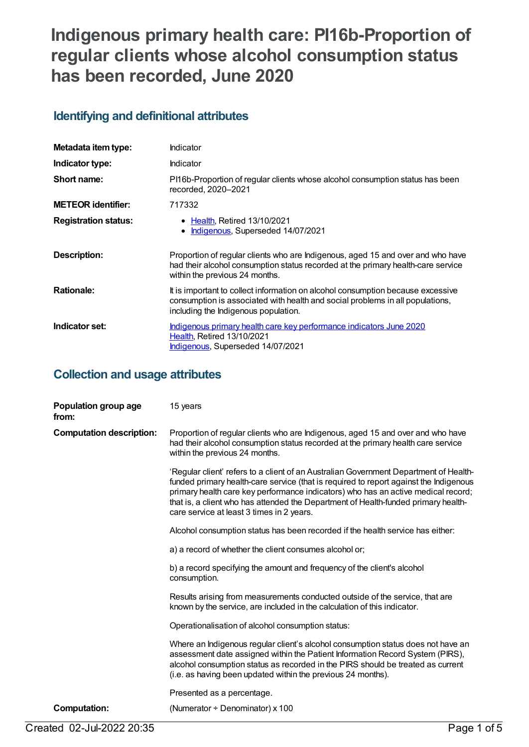# **Indigenous primary health care: PI16b-Proportion of regular clients whose alcohol consumption status has been recorded, June 2020**

# **Identifying and definitional attributes**

| Metadata item type:         | Indicator                                                                                                                                                                                                |
|-----------------------------|----------------------------------------------------------------------------------------------------------------------------------------------------------------------------------------------------------|
| Indicator type:             | Indicator                                                                                                                                                                                                |
| Short name:                 | PI16b-Proportion of regular clients whose alcohol consumption status has been<br>recorded, 2020-2021                                                                                                     |
| <b>METEOR identifier:</b>   | 717332                                                                                                                                                                                                   |
| <b>Registration status:</b> | • Health, Retired 13/10/2021<br>Indigenous, Superseded 14/07/2021<br>$\bullet$                                                                                                                           |
| Description:                | Proportion of regular clients who are Indigenous, aged 15 and over and who have<br>had their alcohol consumption status recorded at the primary health-care service<br>within the previous 24 months.    |
| <b>Rationale:</b>           | It is important to collect information on alcohol consumption because excessive<br>consumption is associated with health and social problems in all populations,<br>including the Indigenous population. |
| Indicator set:              | Indigenous primary health care key performance indicators June 2020<br><b>Health, Retired 13/10/2021</b><br>Indigenous, Superseded 14/07/2021                                                            |

### **Collection and usage attributes**

| Population group age<br>from:   | 15 years                                                                                                                                                                                                                                                                                                                                                                                               |
|---------------------------------|--------------------------------------------------------------------------------------------------------------------------------------------------------------------------------------------------------------------------------------------------------------------------------------------------------------------------------------------------------------------------------------------------------|
| <b>Computation description:</b> | Proportion of regular clients who are Indigenous, aged 15 and over and who have<br>had their alcohol consumption status recorded at the primary health care service<br>within the previous 24 months.                                                                                                                                                                                                  |
|                                 | 'Regular client' refers to a client of an Australian Government Department of Health-<br>funded primary health-care service (that is required to report against the Indigenous<br>primary health care key performance indicators) who has an active medical record;<br>that is, a client who has attended the Department of Health-funded primary health-<br>care service at least 3 times in 2 years. |
|                                 | Alcohol consumption status has been recorded if the health service has either:                                                                                                                                                                                                                                                                                                                         |
|                                 | a) a record of whether the client consumes alcohol or;                                                                                                                                                                                                                                                                                                                                                 |
|                                 | b) a record specifying the amount and frequency of the client's alcohol<br>consumption.                                                                                                                                                                                                                                                                                                                |
|                                 | Results arising from measurements conducted outside of the service, that are<br>known by the service, are included in the calculation of this indicator.                                                                                                                                                                                                                                               |
|                                 | Operationalisation of alcohol consumption status:                                                                                                                                                                                                                                                                                                                                                      |
|                                 | Where an Indigenous regular client's alcohol consumption status does not have an<br>assessment date assigned within the Patient Information Record System (PIRS),<br>alcohol consumption status as recorded in the PIRS should be treated as current<br>(i.e. as having been updated within the previous 24 months).                                                                                   |
|                                 | Presented as a percentage.                                                                                                                                                                                                                                                                                                                                                                             |
| <b>Computation:</b>             | (Numerator ÷ Denominator) x 100                                                                                                                                                                                                                                                                                                                                                                        |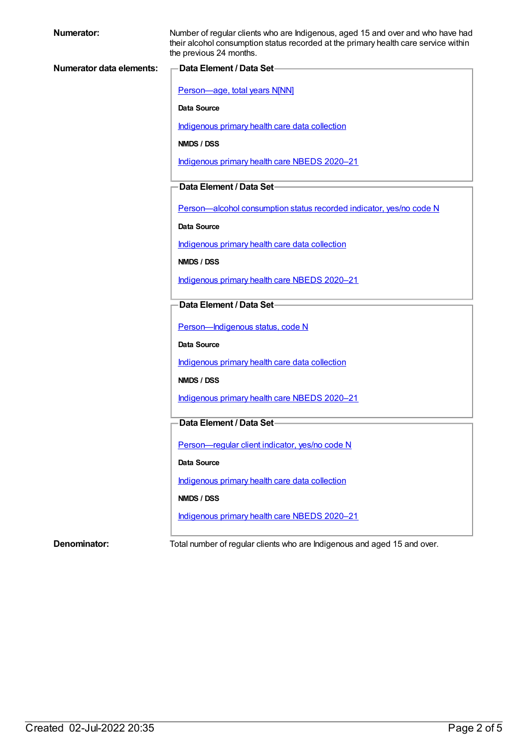| <b>Numerator:</b>               | Number of regular clients who are Indigenous, aged 15 and over and who have had<br>their alcohol consumption status recorded at the primary health care service within<br>the previous 24 months. |
|---------------------------------|---------------------------------------------------------------------------------------------------------------------------------------------------------------------------------------------------|
| <b>Numerator data elements:</b> | -Data Element / Data Set-                                                                                                                                                                         |
|                                 | Person-age, total years N[NN]                                                                                                                                                                     |
|                                 | <b>Data Source</b>                                                                                                                                                                                |
|                                 | Indigenous primary health care data collection                                                                                                                                                    |
|                                 | NMDS / DSS                                                                                                                                                                                        |
|                                 | Indigenous primary health care NBEDS 2020-21                                                                                                                                                      |
|                                 | Data Element / Data Set-                                                                                                                                                                          |
|                                 | Person-alcohol consumption status recorded indicator, yes/no code N                                                                                                                               |
|                                 | Data Source                                                                                                                                                                                       |
|                                 | Indigenous primary health care data collection                                                                                                                                                    |
|                                 | NMDS / DSS                                                                                                                                                                                        |
|                                 | Indigenous primary health care NBEDS 2020-21                                                                                                                                                      |
|                                 | Data Element / Data Set-                                                                                                                                                                          |
|                                 | Person-Indigenous status, code N                                                                                                                                                                  |
|                                 | Data Source                                                                                                                                                                                       |
|                                 | Indigenous primary health care data collection                                                                                                                                                    |
|                                 | NMDS / DSS                                                                                                                                                                                        |
|                                 | Indigenous primary health care NBEDS 2020-21                                                                                                                                                      |
|                                 | Data Element / Data Set-                                                                                                                                                                          |
|                                 | Person-regular client indicator, yes/no code N                                                                                                                                                    |
|                                 | Data Source                                                                                                                                                                                       |
|                                 | Indigenous primary health care data collection                                                                                                                                                    |
|                                 | NMDS / DSS                                                                                                                                                                                        |
|                                 | Indigenous primary health care NBEDS 2020-21                                                                                                                                                      |
| Denominator:                    | Total number of regular clients who are Indigenous and aged 15 and over.                                                                                                                          |
|                                 |                                                                                                                                                                                                   |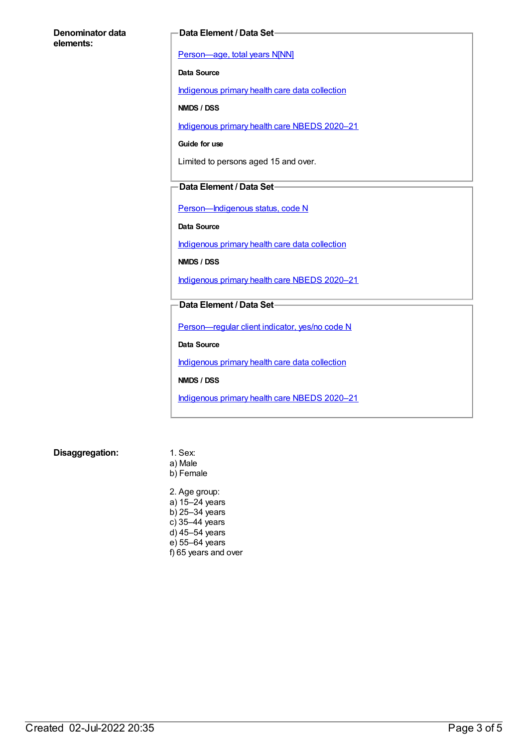#### **Denominator data elements:**

#### **Data Element / Data Set**

[Person—age,](https://meteor.aihw.gov.au/content/303794) total years N[NN]

**Data Source**

[Indigenous](https://meteor.aihw.gov.au/content/430643) primary health care data collection

**NMDS / DSS**

[Indigenous](https://meteor.aihw.gov.au/content/715320) primary health care NBEDS 2020–21

**Guide for use**

Limited to persons aged 15 and over.

#### **Data Element / Data Set**

Person-Indigenous status, code N

**Data Source**

[Indigenous](https://meteor.aihw.gov.au/content/430643) primary health care data collection

**NMDS / DSS**

[Indigenous](https://meteor.aihw.gov.au/content/715320) primary health care NBEDS 2020–21

#### **Data Element / Data Set**

[Person—regular](https://meteor.aihw.gov.au/content/686291) client indicator, yes/no code N

**Data Source**

[Indigenous](https://meteor.aihw.gov.au/content/430643) primary health care data collection

**NMDS / DSS**

[Indigenous](https://meteor.aihw.gov.au/content/715320) primary health care NBEDS 2020–21

**Disaggregation:** 1. Sex:

a) Male b) Female

2. Age group: a) 15–24 years b) 25–34 years c) 35–44 years d) 45–54 years e) 55–64 years f) 65 years and over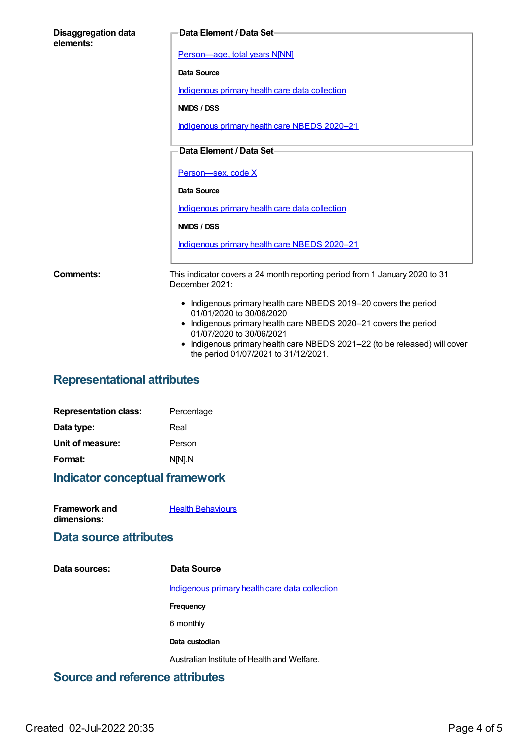| <b>Disaggregation data</b><br>elements: | Data Element / Data Set-                                                                                                                                                                                                                                                                                         |
|-----------------------------------------|------------------------------------------------------------------------------------------------------------------------------------------------------------------------------------------------------------------------------------------------------------------------------------------------------------------|
|                                         | Person-age, total years N[NN]                                                                                                                                                                                                                                                                                    |
|                                         | Data Source                                                                                                                                                                                                                                                                                                      |
|                                         | Indigenous primary health care data collection                                                                                                                                                                                                                                                                   |
|                                         | <b>NMDS / DSS</b>                                                                                                                                                                                                                                                                                                |
|                                         | Indigenous primary health care NBEDS 2020-21                                                                                                                                                                                                                                                                     |
|                                         | Data Element / Data Set-                                                                                                                                                                                                                                                                                         |
|                                         | Person-sex, code X                                                                                                                                                                                                                                                                                               |
|                                         | Data Source                                                                                                                                                                                                                                                                                                      |
|                                         | Indigenous primary health care data collection                                                                                                                                                                                                                                                                   |
|                                         | NMDS / DSS                                                                                                                                                                                                                                                                                                       |
|                                         | Indigenous primary health care NBEDS 2020-21                                                                                                                                                                                                                                                                     |
| <b>Comments:</b>                        | This indicator covers a 24 month reporting period from 1 January 2020 to 31<br>December 2021:                                                                                                                                                                                                                    |
|                                         | • Indigenous primary health care NBEDS 2019-20 covers the period<br>01/01/2020 to 30/06/2020<br>• Indigenous primary health care NBEDS 2020-21 covers the period<br>01/07/2020 to 30/06/2021<br>Indigenous primary health care NBEDS 2021-22 (to be released) will cover<br>the period 01/07/2021 to 31/12/2021. |

# **Representational attributes**

| <b>Representation class:</b> | Percentage |
|------------------------------|------------|
| Data type:                   | Real       |
| Unit of measure:             | Person     |
| Format:                      | N[N].N     |
|                              |            |

# **Indicator conceptual framework**

| <b>Framework and</b> | <b>Health Behaviours</b> |
|----------------------|--------------------------|
| dimensions:          |                          |

### **Data source attributes**

| Data sources: | Data Source                                    |
|---------------|------------------------------------------------|
|               | Indigenous primary health care data collection |
|               | Frequency                                      |
|               | 6 monthly                                      |
|               | Data custodian                                 |
|               | Australian Institute of Health and Welfare.    |
| . .<br>$\sim$ | .                                              |

## **Source and reference attributes**